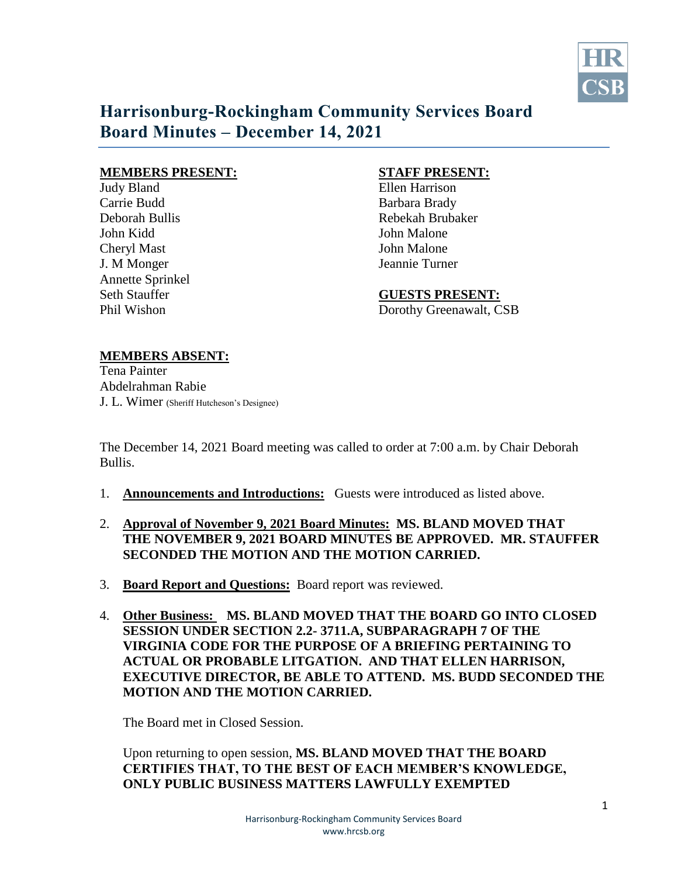

# **Harrisonburg-Rockingham Community Services Board Board Minutes – December 14, 2021**

### **MEMBERS PRESENT: STAFF PRESENT:**

Judy Bland Ellen Harrison Carrie Budd Barbara Brady John Kidd John Malone Cheryl Mast **I** Solid Malone J. M Monger Jeannie Turner Annette Sprinkel

Deborah Bullis Rebekah Brubaker

Seth Stauffer **GUESTS PRESENT:** Phil Wishon Dorothy Greenawalt, CSB

### **MEMBERS ABSENT:**

Tena Painter Abdelrahman Rabie J. L. Wimer (Sheriff Hutcheson's Designee)

The December 14, 2021 Board meeting was called to order at 7:00 a.m. by Chair Deborah Bullis.

- 1. **Announcements and Introductions:** Guests were introduced as listed above.
- 2. **Approval of November 9, 2021 Board Minutes: MS. BLAND MOVED THAT THE NOVEMBER 9, 2021 BOARD MINUTES BE APPROVED. MR. STAUFFER SECONDED THE MOTION AND THE MOTION CARRIED.**
- 3. **Board Report and Questions:** Board report was reviewed.
- 4. **Other Business: MS. BLAND MOVED THAT THE BOARD GO INTO CLOSED SESSION UNDER SECTION 2.2- 3711.A, SUBPARAGRAPH 7 OF THE VIRGINIA CODE FOR THE PURPOSE OF A BRIEFING PERTAINING TO ACTUAL OR PROBABLE LITGATION. AND THAT ELLEN HARRISON, EXECUTIVE DIRECTOR, BE ABLE TO ATTEND. MS. BUDD SECONDED THE MOTION AND THE MOTION CARRIED.**

The Board met in Closed Session.

 Upon returning to open session, **MS. BLAND MOVED THAT THE BOARD CERTIFIES THAT, TO THE BEST OF EACH MEMBER'S KNOWLEDGE, ONLY PUBLIC BUSINESS MATTERS LAWFULLY EXEMPTED**